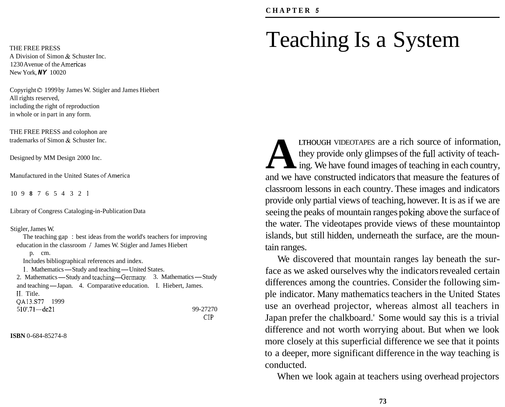# Teaching Is a System

THE FREE PRESS A Division of Simon & Schuster Inc. 1230 Avenue of the Americas New York, *NY* 10020

Copyright *0* 1999 by James W. Stigler and James Hiebert All rights reserved, including the right of reproduction in whole or in part in any form.

THE FREE PRESS and colophon are trademarks of Simon & Schuster Inc.

Designed by MM Design 2000 Inc.

Manufactured in the United States of America

10 9 **8** 7 6 5 4 3 2 1

Library of Congress Cataloging-in-Publication Data

#### Stigler, James W.

The teaching gap : best ideas from the world's teachers for improving education in the classroom / James W. Stigler and James Hiebert

p. cm.

Includes bibliographical references and index.

1. Mathematics - Study and teaching - United States.

Includes bibliographical references and index.<br>1. Mathematics—Study and teaching—United:<br>2. Mathematics—Study and teaching—Germany. 1. Mathematics — Study and teaching — United States.<br>2. Mathematics — Study and teaching — Germany. 3. Mathematics — Sand teaching — Japan. 4. Comparative education. I. Hiebert, James. 11. Title. QA13.S77 1999 ates.<br>3. Mathematics — Study

| $510'$ :71—dc21 | 99-27270 |
|-----------------|----------|
|                 | CIP      |

**ISBN** 0-684-85274-8

LTHOUGH VIDEOTAPES are a rich source of information, they provide only glimpses of the full activity of teach-<br>ing. We have found images of teaching in each country, ing. We have found images of teaching in each country, and we have constructed indicators that measure the features of classroom lessons in each country. These images and indicators provide only partial views of teaching, however. It is as if we are seeing the peaks of mountain ranges poking above the surface of the water. The videotapes provide views of these mountaintop islands, but still hidden, underneath the surface, are the mountain ranges.

We discovered that mountain ranges lay beneath the surface as we asked ourselves why the indicators revealed certain differences among the countries. Consider the following simple indicator. Many mathematics teachers in the United States use an overhead projector, whereas almost all teachers in Japan prefer the chalkboard.' Some would say this is a trivial difference and not worth worrying about. But when we look more closely at this superficial difference we see that it points to a deeper, more significant difference in the way teaching is conducted.

When we look again at teachers using overhead projectors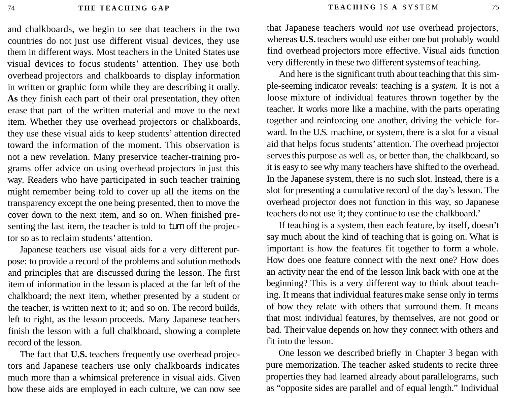74 **THE TEACHING GAP TEACHING** IS **A** SYSTEM *75* 

and chalkboards, we begin to see that teachers in the two countries do not just use different visual devices, they use them in different ways. Most teachers in the United States use visual devices to focus students' attention. They use both overhead projectors and chalkboards to display information in written or graphic form while they are describing it orally. **As** they finish each part of their oral presentation, they often erase that part of the written material and move to the next item. Whether they use overhead projectors or chalkboards, they use these visual aids to keep students' attention directed toward the information of the moment. This observation is not a new revelation. Many preservice teacher-training programs offer advice on using overhead projectors in just this way. Readers who have participated in such teacher training might remember being told to cover up all the items on the transparency except the one being presented, then to move the cover down to the next item, and so on. When finished presenting the last item, the teacher is told to turn off the projector so as to reclaim students' attention.

Japanese teachers use visual aids for a very different purpose: to provide a record of the problems and solution methods and principles that are discussed during the lesson. The first item of information in the lesson is placed at the far left of the chalkboard; the next item, whether presented by a student or the teacher, is written next to it; and so on. The record builds, left to right, as the lesson proceeds. Many Japanese teachers finish the lesson with a full chalkboard, showing a complete record of the lesson.

The fact that **U.S.** teachers frequently use overhead projectors and Japanese teachers use only chalkboards indicates much more than a whimsical preference in visual aids. Given how these aids are employed in each culture, we can now see that Japanese teachers would *not* use overhead projectors, whereas **U.S.** teachers would use either one but probably would find overhead projectors more effective. Visual aids function very differently in these two different systems of teaching.

And here is the significant truth about teaching that this simple-seeming indicator reveals: teaching is a *system.* It is not a loose mixture of individual features thrown together by the teacher. It works more like a machine, with the parts operating together and reinforcing one another, driving the vehicle forward. In the U.S. machine, or system, there is a slot for a visual aid that helps focus students' attention. The overhead projector serves this purpose as well as, or better than, the chalkboard, so it is easy to see why many teachers have shifted to the overhead. In the Japanese system, there is no such slot. Instead, there is a slot for presenting a cumulative record of the day's lesson. The overhead projector does not function in this way, so Japanese teachers do not use it; they continue to use the chalkboard.'

If teaching is a system, then each feature, by itself, doesn't say much about the kind of teaching that is going on. What is important is how the features fit together to form a whole. How does one feature connect with the next one? How does an activity near the end of the lesson link back with one at the beginning? This is a very different way to think about teaching. It means that individual features make sense only in terms of how they relate with others that surround them. It means that most individual features, by themselves, are not good or bad. Their value depends on how they connect with others and fit into the lesson.

One lesson we described briefly in Chapter 3 began with pure memorization. The teacher asked students to recite three properties they had learned already about parallelograms, such as "opposite sides are parallel and of equal length." Individual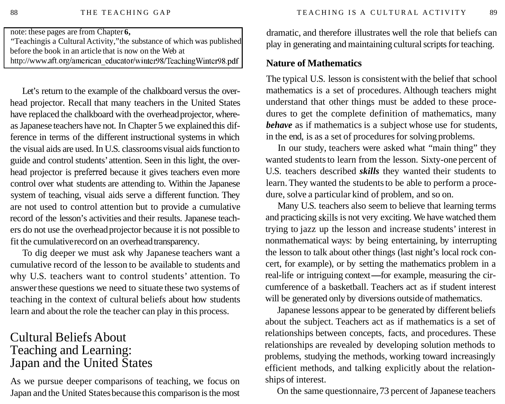note: these pages are from Chapter **6,** 

"Teaching is a Cultural Activity," the substance of which was published before the book in an article that is now on the Web at http://www. **aft.org/american~educator/winter98/TeachingWinter98** .pdf

Let's return to the example of the chalkboard versus the overhead projector. Recall that many teachers in the United States have replaced the chalkboard with the overhead projector, whereas Japanese teachers have not. In Chapter 5 we explained this difference in terms of the different instructional systems in which the visual aids are used. In U.S. classrooms visual aids function to guide and control students' attention. Seen in this light, the overhead projector is preferred because it gives teachers even more control over what students are attending to. Within the Japanese system of teaching, visual aids serve a different function. They are not used to control attention but to provide a cumulative record of the lesson's activities and their results. Japanese teachers do not use the overhead projector because it is not possible to fit the cumulative record on an overhead transparency.

To dig deeper we must ask why Japanese teachers want a cumulative record of the lesson to be available to students and why U.S. teachers want to control students' attention. To answer these questions we need to situate these two systems of teaching in the context of cultural beliefs about how students learn and about the role the teacher can play in this process.

## Cultural Beliefs About Teaching and Learning: Japan and the United States

As we pursue deeper comparisons of teaching, we focus on Japan and the United States because this comparison is the most dramatic, and therefore illustrates well the role that beliefs can play in generating and maintaining cultural scripts for teaching.

#### **Nature of Mathematics**

The typical U.S. lesson is consistent with the belief that school mathematics is a set of procedures. Although teachers might understand that other things must be added to these procedures to get the complete definition of mathematics, many *behave* as if mathematics is a subject whose use for students, in the end, is as a set of procedures for solving problems.

In our study, teachers were asked what "main thing" they wanted students to learn from the lesson. Sixty-one percent of U.S. teachers described *skills* they wanted their students to learn. They wanted the students to be able to perform a procedure, solve a particular kind of problem, and so on.

Many U.S. teachers also seem to believe that learning terms and practicing skills is not very exciting. We have watched them trying to jazz up the lesson and increase students' interest in nonmathematical ways: by being entertaining, by interrupting the lesson to talk about other things (last night's local rock concert, for example), or by setting the mathematics problem in a the lesson to talk about other things (last night's local rock concert, for example), or by setting the mathematics problem in a real-life or intriguing context—for example, measuring the circumference of a basketball. Teachers act as if student interest will be generated only by diversions outside of mathematics.

Japanese lessons appear to be generated by different beliefs about the subject. Teachers act as if mathematics is a set of relationships between concepts, facts, and procedures. These relationships are revealed by developing solution methods to problems, studying the methods, working toward increasingly efficient methods, and talking explicitly about the relationships of interest.

On the same questionnaire, 73 percent of Japanese teachers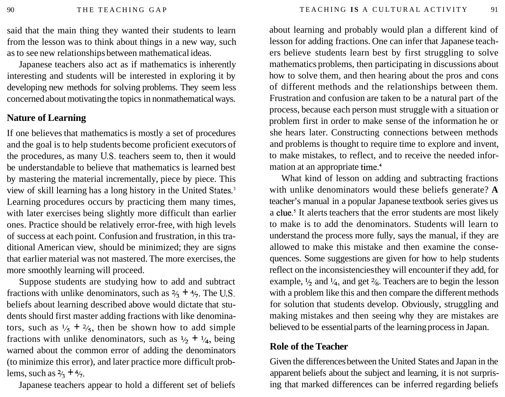said that the main thing they wanted their students to learn from the lesson was to think about things in a new way, such as to see new relationships between mathematical ideas.

Japanese teachers also act as if mathematics is inherently interesting and students will be interested in exploring it by developing new methods for solving problems. They seem less concerned about motivating the topics in nonmathematical ways.

#### **Nature of Learning**

If one believes that mathematics is mostly a set of procedures and the goal is to help students become proficient executors of the procedures, as many U.S. teachers seem to, then it would be understandable to believe that mathematics is learned best by mastering the material incrementally, piece by piece. This view of skill learning has a long history in the United States.<sup>3</sup> Learning procedures occurs by practicing them many times, with later exercises being slightly more difficult than earlier ones. Practice should be relatively error-free, with high levels of success at each point. Confusion and frustration, in this traditional American view, should be minimized; they are signs that earlier material was not mastered. The more exercises, the more smoothly learning will proceed.

Suppose students are studying how to add and subtract fractions with unlike denominators, such as  $\frac{2}{3} + \frac{4}{7}$ . The U.S. beliefs about learning described above would dictate that students should first master adding fractions with like denominators, such as  $\frac{1}{5} + \frac{2}{5}$ , then be shown how to add simple fractions with unlike denominators, such as  $\frac{1}{2} + \frac{1}{4}$ , being warned about the common error of adding the denominators (to minimize this error), and later practice more difficult problems, such as  $\frac{2}{3}$  +  $\frac{4}{7}$ .

Japanese teachers appear to hold a different set of beliefs

about learning and probably would plan a different kind of lesson for adding fractions. One can infer that Japanese teachers believe students learn best by first struggling to solve mathematics problems, then participating in discussions about how to solve them, and then hearing about the pros and cons of different methods and the relationships between them. Frustration and confusion are taken to be a natural part of the process, because each person must struggle with a situation or problem first in order to make sense of the information he or she hears later. Constructing connections between methods and problems is thought to require time to explore and invent, to make mistakes, to reflect, and to receive the needed information at an appropriate time.4

What kind of lesson on adding and subtracting fractions with unlike denominators would these beliefs generate? **A**  teacher's manual in a popular Japanese textbook series gives us a clue.5 It alerts teachers that the error students are most likely to make is to add the denominators. Students will learn to understand the process more fully, says the manual, if they are allowed to make this mistake and then examine the consequences. Some suggestions are given for how to help students reflect on the inconsistencies they will encounter if they add, for example,  $\frac{1}{2}$  and  $\frac{1}{4}$ , and get  $\frac{2}{6}$ . Teachers are to begin the lesson with a problem like this and then compare the different methods for solution that students develop. Obviously, struggling and making mistakes and then seeing why they are mistakes are believed to be essential parts of the learning process in Japan.

### **Role of the Teacher**

Given the differences between the United States and Japan in the apparent beliefs about the subject and learning, it is not surprising that marked differences can be inferred regarding beliefs